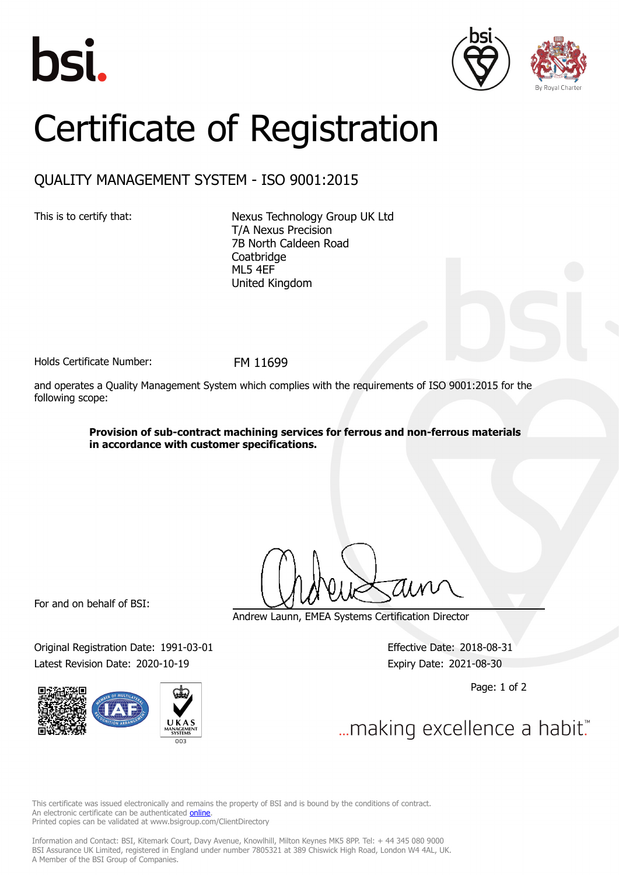





## Certificate of Registration

## QUALITY MANAGEMENT SYSTEM - ISO 9001:2015

This is to certify that: Nexus Technology Group UK Ltd T/A Nexus Precision 7B North Caldeen Road **Coatbridge** ML5 4EF United Kingdom

Holds Certificate Number: FM 11699

and operates a Quality Management System which complies with the requirements of ISO 9001:2015 for the following scope:

> **Provision of sub-contract machining services for ferrous and non-ferrous materials in accordance with customer specifications.**

For and on behalf of BSI:

Original Registration Date: 1991-03-01 Effective Date: 2018-08-31 Latest Revision Date: 2020-10-19 Expiry Date: 2021-08-30



Andrew Launn, EMEA Systems Certification Director

Page: 1 of 2

... making excellence a habit."

This certificate was issued electronically and remains the property of BSI and is bound by the conditions of contract. An electronic certificate can be authenticated **[online](https://pgplus.bsigroup.com/CertificateValidation/CertificateValidator.aspx?CertificateNumber=FM+11699&ReIssueDate=19%2f10%2f2020&Template=uk)**. Printed copies can be validated at www.bsigroup.com/ClientDirectory

Information and Contact: BSI, Kitemark Court, Davy Avenue, Knowlhill, Milton Keynes MK5 8PP. Tel: + 44 345 080 9000 BSI Assurance UK Limited, registered in England under number 7805321 at 389 Chiswick High Road, London W4 4AL, UK. A Member of the BSI Group of Companies.